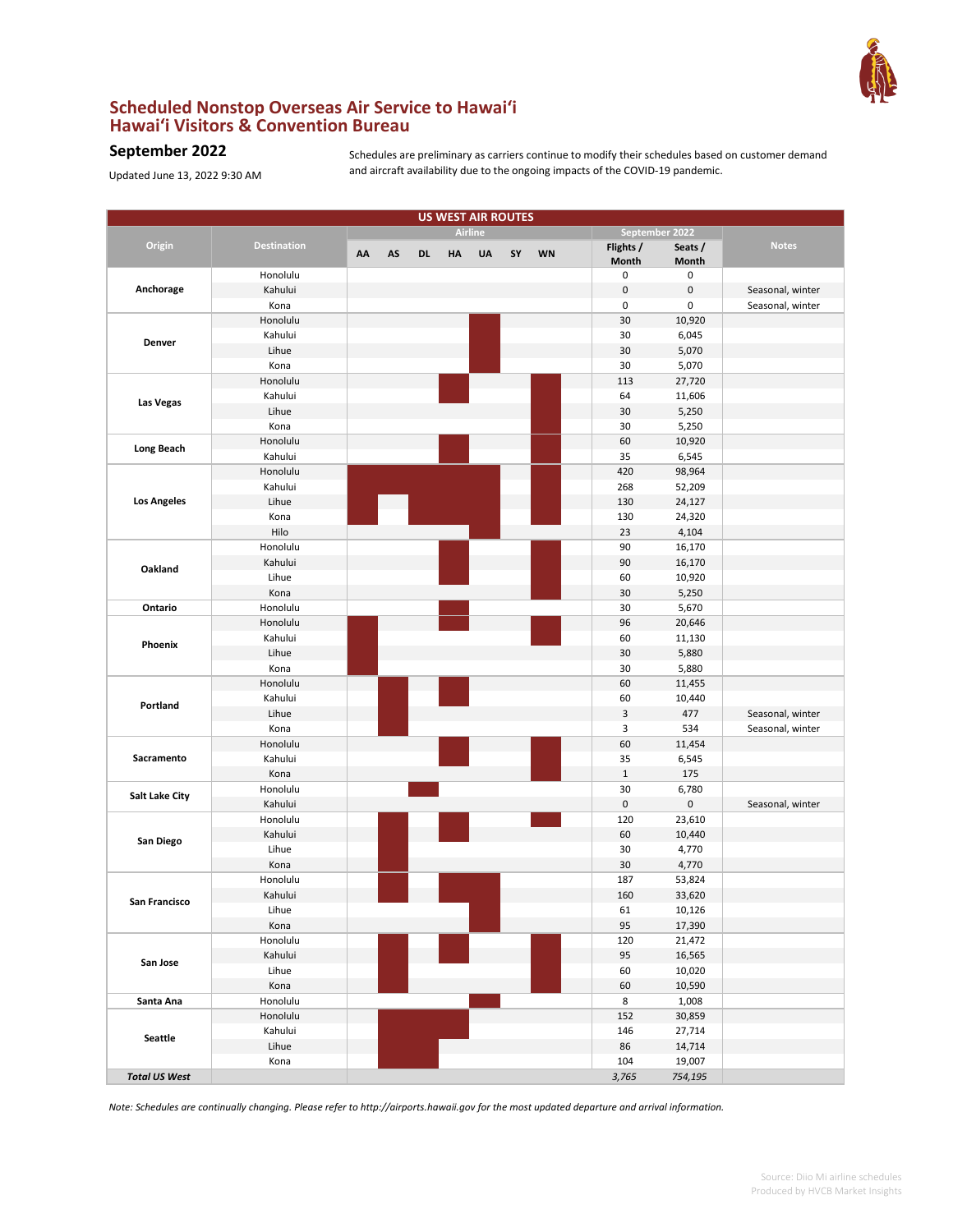

## **Scheduled Nonstop Overseas Air Service to Hawai'i Hawai'i Visitors & Convention Bureau**

## **September 2022**

Updated June 13, 2022 9:30 AM

Schedules are preliminary as carriers continue to modify their schedules based on customer demand and aircraft availability due to the ongoing impacts of the COVID-19 pandemic.

| <b>Airline</b><br>September 2022<br>Origin<br>Flights /<br>Seats /<br><b>Notes</b><br><b>Destination</b><br>AS<br><b>UA</b><br>SY<br><b>WN</b><br>AA<br><b>DL</b><br><b>HA</b><br>Month<br>Month<br>0<br>0<br>Honolulu<br>Anchorage<br>$\pmb{0}$<br>Kahului<br>0<br>Seasonal, winter<br>0<br>0<br>Kona<br>Seasonal, winter<br>Honolulu<br>30<br>10,920<br>Kahului<br>30<br>6,045<br>Denver<br>Lihue<br>30<br>5,070<br>30<br>5,070<br>Kona<br>Honolulu<br>113<br>27,720<br>Kahului<br>64<br>11,606<br>Las Vegas<br>Lihue<br>30<br>5,250<br>30<br>5,250<br>Kona<br>Honolulu<br>60<br>10,920<br><b>Long Beach</b><br>Kahului<br>35<br>6,545<br>Honolulu<br>420<br>98,964<br>Kahului<br>268<br>52,209<br><b>Los Angeles</b><br>Lihue<br>130<br>24,127<br>130<br>Kona<br>24,320<br>Hilo<br>23<br>4,104<br>Honolulu<br>90<br>16,170<br>Kahului<br>90<br>16,170<br>Oakland<br>Lihue<br>60<br>10,920<br>30<br>Kona<br>5,250<br>Ontario<br>Honolulu<br>30<br>5,670<br>Honolulu<br>96<br>20,646<br>Kahului<br>60<br>11,130<br>Phoenix<br>Lihue<br>30<br>5,880<br>Kona<br>30<br>5,880<br>Honolulu<br>60<br>11,455<br>Kahului<br>60<br>10,440<br>Portland<br>Lihue<br>3<br>477<br>Seasonal, winter<br>3<br>534<br>Kona<br>Seasonal, winter<br>Honolulu<br>60<br>11,454<br>Sacramento<br>Kahului<br>35<br>6,545<br>$1\,$<br>175<br>Kona<br>Honolulu<br>30<br>6,780<br>Salt Lake City<br>$\pmb{0}$<br>0<br>Kahului<br>Seasonal, winter<br>23,610<br>Honolulu<br>120<br>60<br>Kahului<br>10,440<br>San Diego<br>Lihue<br>30<br>4,770<br>30<br>4,770<br>Kona<br>Honolulu<br>187<br>53,824<br>160<br>Kahului<br>33,620<br>San Francisco<br>Lihue<br>61<br>10,126<br>95<br>17,390<br>Kona<br>Honolulu<br>21,472<br>120<br>Kahului<br>95<br>16,565<br>San Jose<br>Lihue<br>60<br>10,020<br>Kona<br>60<br>10,590<br>Honolulu<br>8<br>1,008<br>Santa Ana<br>Honolulu<br>152<br>30,859<br>Kahului<br>27,714<br>146<br><b>Seattle</b><br>Lihue<br>86<br>14,714<br>104<br>19,007<br>Kona<br><b>Total US West</b><br>3,765<br>754,195 | <b>US WEST AIR ROUTES</b> |  |  |  |  |  |  |  |  |  |  |
|--------------------------------------------------------------------------------------------------------------------------------------------------------------------------------------------------------------------------------------------------------------------------------------------------------------------------------------------------------------------------------------------------------------------------------------------------------------------------------------------------------------------------------------------------------------------------------------------------------------------------------------------------------------------------------------------------------------------------------------------------------------------------------------------------------------------------------------------------------------------------------------------------------------------------------------------------------------------------------------------------------------------------------------------------------------------------------------------------------------------------------------------------------------------------------------------------------------------------------------------------------------------------------------------------------------------------------------------------------------------------------------------------------------------------------------------------------------------------------------------------------------------------------------------------------------------------------------------------------------------------------------------------------------------------------------------------------------------------------------------------------------------------------------------------------------------------------------------------------------------------------------------------------------------------------------------------------------------------------------------------------------|---------------------------|--|--|--|--|--|--|--|--|--|--|
|                                                                                                                                                                                                                                                                                                                                                                                                                                                                                                                                                                                                                                                                                                                                                                                                                                                                                                                                                                                                                                                                                                                                                                                                                                                                                                                                                                                                                                                                                                                                                                                                                                                                                                                                                                                                                                                                                                                                                                                                              |                           |  |  |  |  |  |  |  |  |  |  |
|                                                                                                                                                                                                                                                                                                                                                                                                                                                                                                                                                                                                                                                                                                                                                                                                                                                                                                                                                                                                                                                                                                                                                                                                                                                                                                                                                                                                                                                                                                                                                                                                                                                                                                                                                                                                                                                                                                                                                                                                              |                           |  |  |  |  |  |  |  |  |  |  |
|                                                                                                                                                                                                                                                                                                                                                                                                                                                                                                                                                                                                                                                                                                                                                                                                                                                                                                                                                                                                                                                                                                                                                                                                                                                                                                                                                                                                                                                                                                                                                                                                                                                                                                                                                                                                                                                                                                                                                                                                              |                           |  |  |  |  |  |  |  |  |  |  |
|                                                                                                                                                                                                                                                                                                                                                                                                                                                                                                                                                                                                                                                                                                                                                                                                                                                                                                                                                                                                                                                                                                                                                                                                                                                                                                                                                                                                                                                                                                                                                                                                                                                                                                                                                                                                                                                                                                                                                                                                              |                           |  |  |  |  |  |  |  |  |  |  |
|                                                                                                                                                                                                                                                                                                                                                                                                                                                                                                                                                                                                                                                                                                                                                                                                                                                                                                                                                                                                                                                                                                                                                                                                                                                                                                                                                                                                                                                                                                                                                                                                                                                                                                                                                                                                                                                                                                                                                                                                              |                           |  |  |  |  |  |  |  |  |  |  |
|                                                                                                                                                                                                                                                                                                                                                                                                                                                                                                                                                                                                                                                                                                                                                                                                                                                                                                                                                                                                                                                                                                                                                                                                                                                                                                                                                                                                                                                                                                                                                                                                                                                                                                                                                                                                                                                                                                                                                                                                              |                           |  |  |  |  |  |  |  |  |  |  |
|                                                                                                                                                                                                                                                                                                                                                                                                                                                                                                                                                                                                                                                                                                                                                                                                                                                                                                                                                                                                                                                                                                                                                                                                                                                                                                                                                                                                                                                                                                                                                                                                                                                                                                                                                                                                                                                                                                                                                                                                              |                           |  |  |  |  |  |  |  |  |  |  |
|                                                                                                                                                                                                                                                                                                                                                                                                                                                                                                                                                                                                                                                                                                                                                                                                                                                                                                                                                                                                                                                                                                                                                                                                                                                                                                                                                                                                                                                                                                                                                                                                                                                                                                                                                                                                                                                                                                                                                                                                              |                           |  |  |  |  |  |  |  |  |  |  |
|                                                                                                                                                                                                                                                                                                                                                                                                                                                                                                                                                                                                                                                                                                                                                                                                                                                                                                                                                                                                                                                                                                                                                                                                                                                                                                                                                                                                                                                                                                                                                                                                                                                                                                                                                                                                                                                                                                                                                                                                              |                           |  |  |  |  |  |  |  |  |  |  |
|                                                                                                                                                                                                                                                                                                                                                                                                                                                                                                                                                                                                                                                                                                                                                                                                                                                                                                                                                                                                                                                                                                                                                                                                                                                                                                                                                                                                                                                                                                                                                                                                                                                                                                                                                                                                                                                                                                                                                                                                              |                           |  |  |  |  |  |  |  |  |  |  |
|                                                                                                                                                                                                                                                                                                                                                                                                                                                                                                                                                                                                                                                                                                                                                                                                                                                                                                                                                                                                                                                                                                                                                                                                                                                                                                                                                                                                                                                                                                                                                                                                                                                                                                                                                                                                                                                                                                                                                                                                              |                           |  |  |  |  |  |  |  |  |  |  |
|                                                                                                                                                                                                                                                                                                                                                                                                                                                                                                                                                                                                                                                                                                                                                                                                                                                                                                                                                                                                                                                                                                                                                                                                                                                                                                                                                                                                                                                                                                                                                                                                                                                                                                                                                                                                                                                                                                                                                                                                              |                           |  |  |  |  |  |  |  |  |  |  |
|                                                                                                                                                                                                                                                                                                                                                                                                                                                                                                                                                                                                                                                                                                                                                                                                                                                                                                                                                                                                                                                                                                                                                                                                                                                                                                                                                                                                                                                                                                                                                                                                                                                                                                                                                                                                                                                                                                                                                                                                              |                           |  |  |  |  |  |  |  |  |  |  |
|                                                                                                                                                                                                                                                                                                                                                                                                                                                                                                                                                                                                                                                                                                                                                                                                                                                                                                                                                                                                                                                                                                                                                                                                                                                                                                                                                                                                                                                                                                                                                                                                                                                                                                                                                                                                                                                                                                                                                                                                              |                           |  |  |  |  |  |  |  |  |  |  |
|                                                                                                                                                                                                                                                                                                                                                                                                                                                                                                                                                                                                                                                                                                                                                                                                                                                                                                                                                                                                                                                                                                                                                                                                                                                                                                                                                                                                                                                                                                                                                                                                                                                                                                                                                                                                                                                                                                                                                                                                              |                           |  |  |  |  |  |  |  |  |  |  |
|                                                                                                                                                                                                                                                                                                                                                                                                                                                                                                                                                                                                                                                                                                                                                                                                                                                                                                                                                                                                                                                                                                                                                                                                                                                                                                                                                                                                                                                                                                                                                                                                                                                                                                                                                                                                                                                                                                                                                                                                              |                           |  |  |  |  |  |  |  |  |  |  |
|                                                                                                                                                                                                                                                                                                                                                                                                                                                                                                                                                                                                                                                                                                                                                                                                                                                                                                                                                                                                                                                                                                                                                                                                                                                                                                                                                                                                                                                                                                                                                                                                                                                                                                                                                                                                                                                                                                                                                                                                              |                           |  |  |  |  |  |  |  |  |  |  |
|                                                                                                                                                                                                                                                                                                                                                                                                                                                                                                                                                                                                                                                                                                                                                                                                                                                                                                                                                                                                                                                                                                                                                                                                                                                                                                                                                                                                                                                                                                                                                                                                                                                                                                                                                                                                                                                                                                                                                                                                              |                           |  |  |  |  |  |  |  |  |  |  |
|                                                                                                                                                                                                                                                                                                                                                                                                                                                                                                                                                                                                                                                                                                                                                                                                                                                                                                                                                                                                                                                                                                                                                                                                                                                                                                                                                                                                                                                                                                                                                                                                                                                                                                                                                                                                                                                                                                                                                                                                              |                           |  |  |  |  |  |  |  |  |  |  |
|                                                                                                                                                                                                                                                                                                                                                                                                                                                                                                                                                                                                                                                                                                                                                                                                                                                                                                                                                                                                                                                                                                                                                                                                                                                                                                                                                                                                                                                                                                                                                                                                                                                                                                                                                                                                                                                                                                                                                                                                              |                           |  |  |  |  |  |  |  |  |  |  |
|                                                                                                                                                                                                                                                                                                                                                                                                                                                                                                                                                                                                                                                                                                                                                                                                                                                                                                                                                                                                                                                                                                                                                                                                                                                                                                                                                                                                                                                                                                                                                                                                                                                                                                                                                                                                                                                                                                                                                                                                              |                           |  |  |  |  |  |  |  |  |  |  |
|                                                                                                                                                                                                                                                                                                                                                                                                                                                                                                                                                                                                                                                                                                                                                                                                                                                                                                                                                                                                                                                                                                                                                                                                                                                                                                                                                                                                                                                                                                                                                                                                                                                                                                                                                                                                                                                                                                                                                                                                              |                           |  |  |  |  |  |  |  |  |  |  |
|                                                                                                                                                                                                                                                                                                                                                                                                                                                                                                                                                                                                                                                                                                                                                                                                                                                                                                                                                                                                                                                                                                                                                                                                                                                                                                                                                                                                                                                                                                                                                                                                                                                                                                                                                                                                                                                                                                                                                                                                              |                           |  |  |  |  |  |  |  |  |  |  |
|                                                                                                                                                                                                                                                                                                                                                                                                                                                                                                                                                                                                                                                                                                                                                                                                                                                                                                                                                                                                                                                                                                                                                                                                                                                                                                                                                                                                                                                                                                                                                                                                                                                                                                                                                                                                                                                                                                                                                                                                              |                           |  |  |  |  |  |  |  |  |  |  |
|                                                                                                                                                                                                                                                                                                                                                                                                                                                                                                                                                                                                                                                                                                                                                                                                                                                                                                                                                                                                                                                                                                                                                                                                                                                                                                                                                                                                                                                                                                                                                                                                                                                                                                                                                                                                                                                                                                                                                                                                              |                           |  |  |  |  |  |  |  |  |  |  |
|                                                                                                                                                                                                                                                                                                                                                                                                                                                                                                                                                                                                                                                                                                                                                                                                                                                                                                                                                                                                                                                                                                                                                                                                                                                                                                                                                                                                                                                                                                                                                                                                                                                                                                                                                                                                                                                                                                                                                                                                              |                           |  |  |  |  |  |  |  |  |  |  |
|                                                                                                                                                                                                                                                                                                                                                                                                                                                                                                                                                                                                                                                                                                                                                                                                                                                                                                                                                                                                                                                                                                                                                                                                                                                                                                                                                                                                                                                                                                                                                                                                                                                                                                                                                                                                                                                                                                                                                                                                              |                           |  |  |  |  |  |  |  |  |  |  |
|                                                                                                                                                                                                                                                                                                                                                                                                                                                                                                                                                                                                                                                                                                                                                                                                                                                                                                                                                                                                                                                                                                                                                                                                                                                                                                                                                                                                                                                                                                                                                                                                                                                                                                                                                                                                                                                                                                                                                                                                              |                           |  |  |  |  |  |  |  |  |  |  |
|                                                                                                                                                                                                                                                                                                                                                                                                                                                                                                                                                                                                                                                                                                                                                                                                                                                                                                                                                                                                                                                                                                                                                                                                                                                                                                                                                                                                                                                                                                                                                                                                                                                                                                                                                                                                                                                                                                                                                                                                              |                           |  |  |  |  |  |  |  |  |  |  |
|                                                                                                                                                                                                                                                                                                                                                                                                                                                                                                                                                                                                                                                                                                                                                                                                                                                                                                                                                                                                                                                                                                                                                                                                                                                                                                                                                                                                                                                                                                                                                                                                                                                                                                                                                                                                                                                                                                                                                                                                              |                           |  |  |  |  |  |  |  |  |  |  |
|                                                                                                                                                                                                                                                                                                                                                                                                                                                                                                                                                                                                                                                                                                                                                                                                                                                                                                                                                                                                                                                                                                                                                                                                                                                                                                                                                                                                                                                                                                                                                                                                                                                                                                                                                                                                                                                                                                                                                                                                              |                           |  |  |  |  |  |  |  |  |  |  |
|                                                                                                                                                                                                                                                                                                                                                                                                                                                                                                                                                                                                                                                                                                                                                                                                                                                                                                                                                                                                                                                                                                                                                                                                                                                                                                                                                                                                                                                                                                                                                                                                                                                                                                                                                                                                                                                                                                                                                                                                              |                           |  |  |  |  |  |  |  |  |  |  |
|                                                                                                                                                                                                                                                                                                                                                                                                                                                                                                                                                                                                                                                                                                                                                                                                                                                                                                                                                                                                                                                                                                                                                                                                                                                                                                                                                                                                                                                                                                                                                                                                                                                                                                                                                                                                                                                                                                                                                                                                              |                           |  |  |  |  |  |  |  |  |  |  |
|                                                                                                                                                                                                                                                                                                                                                                                                                                                                                                                                                                                                                                                                                                                                                                                                                                                                                                                                                                                                                                                                                                                                                                                                                                                                                                                                                                                                                                                                                                                                                                                                                                                                                                                                                                                                                                                                                                                                                                                                              |                           |  |  |  |  |  |  |  |  |  |  |
|                                                                                                                                                                                                                                                                                                                                                                                                                                                                                                                                                                                                                                                                                                                                                                                                                                                                                                                                                                                                                                                                                                                                                                                                                                                                                                                                                                                                                                                                                                                                                                                                                                                                                                                                                                                                                                                                                                                                                                                                              |                           |  |  |  |  |  |  |  |  |  |  |
|                                                                                                                                                                                                                                                                                                                                                                                                                                                                                                                                                                                                                                                                                                                                                                                                                                                                                                                                                                                                                                                                                                                                                                                                                                                                                                                                                                                                                                                                                                                                                                                                                                                                                                                                                                                                                                                                                                                                                                                                              |                           |  |  |  |  |  |  |  |  |  |  |
|                                                                                                                                                                                                                                                                                                                                                                                                                                                                                                                                                                                                                                                                                                                                                                                                                                                                                                                                                                                                                                                                                                                                                                                                                                                                                                                                                                                                                                                                                                                                                                                                                                                                                                                                                                                                                                                                                                                                                                                                              |                           |  |  |  |  |  |  |  |  |  |  |
|                                                                                                                                                                                                                                                                                                                                                                                                                                                                                                                                                                                                                                                                                                                                                                                                                                                                                                                                                                                                                                                                                                                                                                                                                                                                                                                                                                                                                                                                                                                                                                                                                                                                                                                                                                                                                                                                                                                                                                                                              |                           |  |  |  |  |  |  |  |  |  |  |
|                                                                                                                                                                                                                                                                                                                                                                                                                                                                                                                                                                                                                                                                                                                                                                                                                                                                                                                                                                                                                                                                                                                                                                                                                                                                                                                                                                                                                                                                                                                                                                                                                                                                                                                                                                                                                                                                                                                                                                                                              |                           |  |  |  |  |  |  |  |  |  |  |
|                                                                                                                                                                                                                                                                                                                                                                                                                                                                                                                                                                                                                                                                                                                                                                                                                                                                                                                                                                                                                                                                                                                                                                                                                                                                                                                                                                                                                                                                                                                                                                                                                                                                                                                                                                                                                                                                                                                                                                                                              |                           |  |  |  |  |  |  |  |  |  |  |
|                                                                                                                                                                                                                                                                                                                                                                                                                                                                                                                                                                                                                                                                                                                                                                                                                                                                                                                                                                                                                                                                                                                                                                                                                                                                                                                                                                                                                                                                                                                                                                                                                                                                                                                                                                                                                                                                                                                                                                                                              |                           |  |  |  |  |  |  |  |  |  |  |
|                                                                                                                                                                                                                                                                                                                                                                                                                                                                                                                                                                                                                                                                                                                                                                                                                                                                                                                                                                                                                                                                                                                                                                                                                                                                                                                                                                                                                                                                                                                                                                                                                                                                                                                                                                                                                                                                                                                                                                                                              |                           |  |  |  |  |  |  |  |  |  |  |
|                                                                                                                                                                                                                                                                                                                                                                                                                                                                                                                                                                                                                                                                                                                                                                                                                                                                                                                                                                                                                                                                                                                                                                                                                                                                                                                                                                                                                                                                                                                                                                                                                                                                                                                                                                                                                                                                                                                                                                                                              |                           |  |  |  |  |  |  |  |  |  |  |
|                                                                                                                                                                                                                                                                                                                                                                                                                                                                                                                                                                                                                                                                                                                                                                                                                                                                                                                                                                                                                                                                                                                                                                                                                                                                                                                                                                                                                                                                                                                                                                                                                                                                                                                                                                                                                                                                                                                                                                                                              |                           |  |  |  |  |  |  |  |  |  |  |
|                                                                                                                                                                                                                                                                                                                                                                                                                                                                                                                                                                                                                                                                                                                                                                                                                                                                                                                                                                                                                                                                                                                                                                                                                                                                                                                                                                                                                                                                                                                                                                                                                                                                                                                                                                                                                                                                                                                                                                                                              |                           |  |  |  |  |  |  |  |  |  |  |
|                                                                                                                                                                                                                                                                                                                                                                                                                                                                                                                                                                                                                                                                                                                                                                                                                                                                                                                                                                                                                                                                                                                                                                                                                                                                                                                                                                                                                                                                                                                                                                                                                                                                                                                                                                                                                                                                                                                                                                                                              |                           |  |  |  |  |  |  |  |  |  |  |
|                                                                                                                                                                                                                                                                                                                                                                                                                                                                                                                                                                                                                                                                                                                                                                                                                                                                                                                                                                                                                                                                                                                                                                                                                                                                                                                                                                                                                                                                                                                                                                                                                                                                                                                                                                                                                                                                                                                                                                                                              |                           |  |  |  |  |  |  |  |  |  |  |
|                                                                                                                                                                                                                                                                                                                                                                                                                                                                                                                                                                                                                                                                                                                                                                                                                                                                                                                                                                                                                                                                                                                                                                                                                                                                                                                                                                                                                                                                                                                                                                                                                                                                                                                                                                                                                                                                                                                                                                                                              |                           |  |  |  |  |  |  |  |  |  |  |
|                                                                                                                                                                                                                                                                                                                                                                                                                                                                                                                                                                                                                                                                                                                                                                                                                                                                                                                                                                                                                                                                                                                                                                                                                                                                                                                                                                                                                                                                                                                                                                                                                                                                                                                                                                                                                                                                                                                                                                                                              |                           |  |  |  |  |  |  |  |  |  |  |
|                                                                                                                                                                                                                                                                                                                                                                                                                                                                                                                                                                                                                                                                                                                                                                                                                                                                                                                                                                                                                                                                                                                                                                                                                                                                                                                                                                                                                                                                                                                                                                                                                                                                                                                                                                                                                                                                                                                                                                                                              |                           |  |  |  |  |  |  |  |  |  |  |
|                                                                                                                                                                                                                                                                                                                                                                                                                                                                                                                                                                                                                                                                                                                                                                                                                                                                                                                                                                                                                                                                                                                                                                                                                                                                                                                                                                                                                                                                                                                                                                                                                                                                                                                                                                                                                                                                                                                                                                                                              |                           |  |  |  |  |  |  |  |  |  |  |
|                                                                                                                                                                                                                                                                                                                                                                                                                                                                                                                                                                                                                                                                                                                                                                                                                                                                                                                                                                                                                                                                                                                                                                                                                                                                                                                                                                                                                                                                                                                                                                                                                                                                                                                                                                                                                                                                                                                                                                                                              |                           |  |  |  |  |  |  |  |  |  |  |
|                                                                                                                                                                                                                                                                                                                                                                                                                                                                                                                                                                                                                                                                                                                                                                                                                                                                                                                                                                                                                                                                                                                                                                                                                                                                                                                                                                                                                                                                                                                                                                                                                                                                                                                                                                                                                                                                                                                                                                                                              |                           |  |  |  |  |  |  |  |  |  |  |
|                                                                                                                                                                                                                                                                                                                                                                                                                                                                                                                                                                                                                                                                                                                                                                                                                                                                                                                                                                                                                                                                                                                                                                                                                                                                                                                                                                                                                                                                                                                                                                                                                                                                                                                                                                                                                                                                                                                                                                                                              |                           |  |  |  |  |  |  |  |  |  |  |
|                                                                                                                                                                                                                                                                                                                                                                                                                                                                                                                                                                                                                                                                                                                                                                                                                                                                                                                                                                                                                                                                                                                                                                                                                                                                                                                                                                                                                                                                                                                                                                                                                                                                                                                                                                                                                                                                                                                                                                                                              |                           |  |  |  |  |  |  |  |  |  |  |
|                                                                                                                                                                                                                                                                                                                                                                                                                                                                                                                                                                                                                                                                                                                                                                                                                                                                                                                                                                                                                                                                                                                                                                                                                                                                                                                                                                                                                                                                                                                                                                                                                                                                                                                                                                                                                                                                                                                                                                                                              |                           |  |  |  |  |  |  |  |  |  |  |
|                                                                                                                                                                                                                                                                                                                                                                                                                                                                                                                                                                                                                                                                                                                                                                                                                                                                                                                                                                                                                                                                                                                                                                                                                                                                                                                                                                                                                                                                                                                                                                                                                                                                                                                                                                                                                                                                                                                                                                                                              |                           |  |  |  |  |  |  |  |  |  |  |

*Note: Schedules are continually changing. Please refer to http://airports.hawaii.gov for the most updated departure and arrival information.*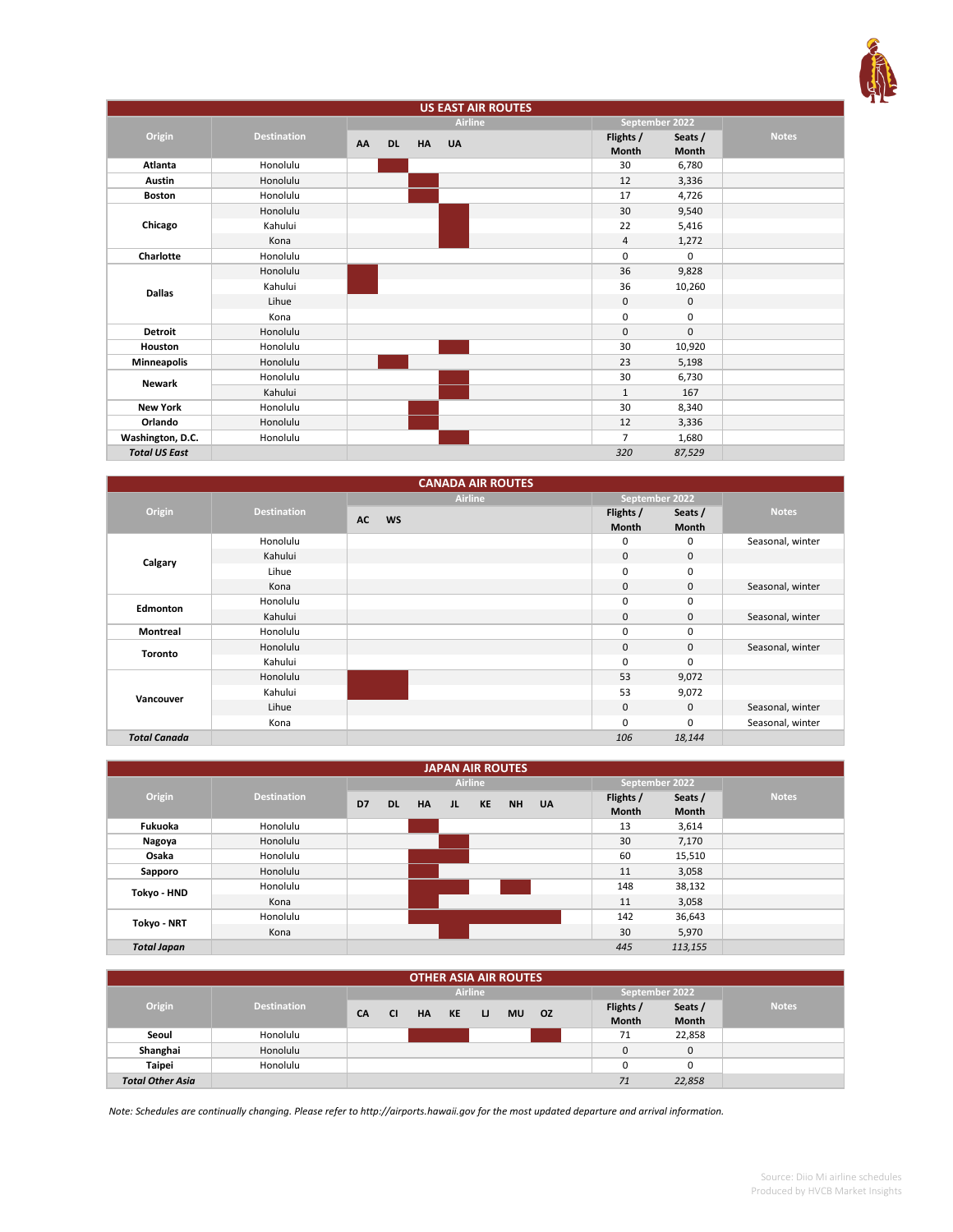

| <b>US EAST AIR ROUTES</b> |                    |                 |           |                |  |                    |                  |              |
|---------------------------|--------------------|-----------------|-----------|----------------|--|--------------------|------------------|--------------|
|                           |                    |                 |           | <b>Airline</b> |  | September 2022     |                  |              |
| Origin                    | <b>Destination</b> | AA<br><b>DL</b> | <b>HA</b> | <b>UA</b>      |  | Flights /<br>Month | Seats /<br>Month | <b>Notes</b> |
| Atlanta                   | Honolulu           |                 |           |                |  | 30                 | 6,780            |              |
| Austin                    | Honolulu           |                 |           |                |  | 12                 | 3,336            |              |
| <b>Boston</b>             | Honolulu           |                 |           |                |  | 17                 | 4,726            |              |
|                           | Honolulu           |                 |           |                |  | 30                 | 9,540            |              |
| Chicago                   | Kahului            |                 |           |                |  | 22                 | 5,416            |              |
|                           | Kona               |                 |           |                |  | 4                  | 1,272            |              |
| Charlotte                 | Honolulu           |                 |           |                |  | $\mathbf 0$        | 0                |              |
|                           | Honolulu           |                 |           |                |  | 36                 | 9,828            |              |
| <b>Dallas</b>             | Kahului            |                 |           |                |  | 36                 | 10,260           |              |
|                           | Lihue              |                 |           |                |  | $\mathsf 0$        | 0                |              |
|                           | Kona               |                 |           |                |  | $\mathbf 0$        | 0                |              |
| <b>Detroit</b>            | Honolulu           |                 |           |                |  | $\mathbf{0}$       | $\mathbf 0$      |              |
| Houston                   | Honolulu           |                 |           |                |  | 30                 | 10,920           |              |
| <b>Minneapolis</b>        | Honolulu           |                 |           |                |  | 23                 | 5,198            |              |
| <b>Newark</b>             | Honolulu           |                 |           |                |  | 30                 | 6,730            |              |
|                           | Kahului            |                 |           |                |  | $\mathbf{1}$       | 167              |              |
| <b>New York</b>           | Honolulu           |                 |           |                |  | 30                 | 8,340            |              |
| Orlando                   | Honolulu           |                 |           |                |  | 12                 | 3,336            |              |
| Washington, D.C.          | Honolulu           |                 |           |                |  | $\overline{7}$     | 1,680            |              |
| <b>Total US East</b>      |                    |                 |           |                |  | 320                | 87,529           |              |

|                     |                    | <b>CANADA AIR ROUTES</b> |                           |                         |                  |
|---------------------|--------------------|--------------------------|---------------------------|-------------------------|------------------|
|                     |                    | <b>Airline</b>           | September 2022            |                         |                  |
| Origin              | <b>Destination</b> | <b>AC</b><br><b>WS</b>   | Flights /<br><b>Month</b> | Seats /<br><b>Month</b> | <b>Notes</b>     |
|                     | Honolulu           |                          | 0                         | 0                       | Seasonal, winter |
| Calgary             | Kahului            |                          | $\mathbf{0}$              | $\mathbf{0}$            |                  |
|                     | Lihue              |                          | $\mathbf 0$               | 0                       |                  |
|                     | Kona               |                          | $\mathbf 0$               | 0                       | Seasonal, winter |
| Edmonton            | Honolulu           |                          | 0                         | 0                       |                  |
|                     | Kahului            |                          | $\mathbf 0$               | $\mathbf 0$             | Seasonal, winter |
| <b>Montreal</b>     | Honolulu           |                          | 0                         | 0                       |                  |
| <b>Toronto</b>      | Honolulu           |                          | $\mathbf{0}$              | $\mathbf 0$             | Seasonal, winter |
|                     | Kahului            |                          | $\mathbf 0$               | 0                       |                  |
|                     | Honolulu           |                          | 53                        | 9,072                   |                  |
| Vancouver           | Kahului            |                          | 53                        | 9,072                   |                  |
|                     | Lihue              |                          | $\mathbf 0$               | $\mathbf{0}$            | Seasonal, winter |
|                     | Kona               |                          | 0                         | 0                       | Seasonal, winter |
| <b>Total Canada</b> |                    |                          | 106                       | 18,144                  |                  |

| <b>JAPAN AIR ROUTES</b> |                    |    |           |           |    |                |       |  |                |         |              |
|-------------------------|--------------------|----|-----------|-----------|----|----------------|-------|--|----------------|---------|--------------|
|                         |                    |    |           |           |    | <b>Airline</b> |       |  | September 2022 |         |              |
| Origin                  | <b>Destination</b> | D7 | <b>DL</b> | <b>HA</b> | JL | <b>KE</b>      | NH UA |  | Flights /      | Seats / | <b>Notes</b> |
|                         |                    |    |           |           |    |                |       |  | <b>Month</b>   | Month   |              |
| Fukuoka                 | Honolulu           |    |           |           |    |                |       |  | 13             | 3,614   |              |
| Nagoya                  | Honolulu           |    |           |           |    |                |       |  | 30             | 7,170   |              |
| Osaka                   | Honolulu           |    |           |           |    |                |       |  | 60             | 15,510  |              |
| Sapporo                 | Honolulu           |    |           |           |    |                |       |  | 11             | 3,058   |              |
| Tokyo - HND             | Honolulu           |    |           |           |    |                |       |  | 148            | 38,132  |              |
|                         | Kona               |    |           |           |    |                |       |  | 11             | 3,058   |              |
| Tokyo - NRT             | Honolulu           |    |           |           |    |                |       |  | 142            | 36,643  |              |
|                         | Kona               |    |           |           |    |                |       |  | 30             | 5,970   |              |
| <b>Total Japan</b>      |                    |    |           |           |    |                |       |  | 445            | 113,155 |              |

| <b>OTHER ASIA AIR ROUTES</b> |                    |           |           |    |           |                |           |     |  |                |              |              |
|------------------------------|--------------------|-----------|-----------|----|-----------|----------------|-----------|-----|--|----------------|--------------|--------------|
|                              |                    |           |           |    |           |                |           |     |  |                |              |              |
|                              |                    |           |           |    |           | <b>Airline</b> |           |     |  | September 2022 |              |              |
| Origin                       | <b>Destination</b> |           |           |    |           |                |           |     |  | Flights /      | Seats /      | <b>Notes</b> |
|                              |                    | <b>CA</b> | <b>CI</b> | HA | <b>KE</b> | IJ             | <b>MU</b> | OZ. |  | Month          | <b>Month</b> |              |
| Seoul                        | Honolulu           |           |           |    |           |                |           |     |  | 71             | 22,858       |              |
| Shanghai                     | Honolulu           |           |           |    |           |                |           |     |  |                | 0            |              |
| <b>Taipei</b>                | Honolulu           |           |           |    |           |                |           |     |  |                | 0            |              |
| <b>Total Other Asia</b>      |                    |           |           |    |           |                |           |     |  | 71             | 22,858       |              |

*Note: Schedules are continually changing. Please refer to http://airports.hawaii.gov for the most updated departure and arrival information.*